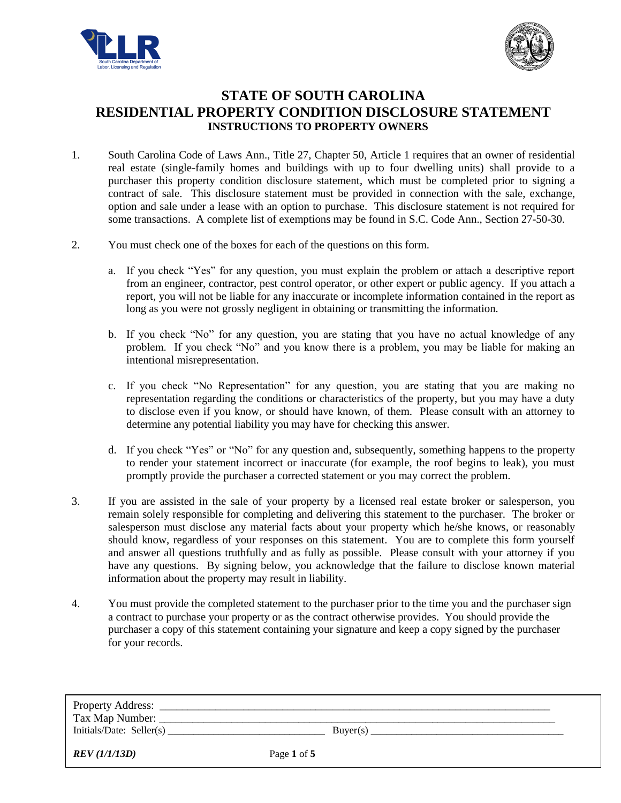



# **STATE OF SOUTH CAROLINA RESIDENTIAL PROPERTY CONDITION DISCLOSURE STATEMENT INSTRUCTIONS TO PROPERTY OWNERS**

- 1. South Carolina Code of Laws Ann., Title 27, Chapter 50, Article 1 requires that an owner of residential real estate (single-family homes and buildings with up to four dwelling units) shall provide to a purchaser this property condition disclosure statement, which must be completed prior to signing a contract of sale. This disclosure statement must be provided in connection with the sale, exchange, option and sale under a lease with an option to purchase. This disclosure statement is not required for some transactions. A complete list of exemptions may be found in S.C. Code Ann., Section 27-50-30.
- 2. You must check one of the boxes for each of the questions on this form.
	- a. If you check "Yes" for any question, you must explain the problem or attach a descriptive report from an engineer, contractor, pest control operator, or other expert or public agency. If you attach a report, you will not be liable for any inaccurate or incomplete information contained in the report as long as you were not grossly negligent in obtaining or transmitting the information.
	- b. If you check "No" for any question, you are stating that you have no actual knowledge of any problem. If you check "No" and you know there is a problem, you may be liable for making an intentional misrepresentation.
	- c. If you check "No Representation" for any question, you are stating that you are making no representation regarding the conditions or characteristics of the property, but you may have a duty to disclose even if you know, or should have known, of them. Please consult with an attorney to determine any potential liability you may have for checking this answer.
	- d. If you check "Yes" or "No" for any question and, subsequently, something happens to the property to render your statement incorrect or inaccurate (for example, the roof begins to leak), you must promptly provide the purchaser a corrected statement or you may correct the problem.
- 3. If you are assisted in the sale of your property by a licensed real estate broker or salesperson, you remain solely responsible for completing and delivering this statement to the purchaser. The broker or salesperson must disclose any material facts about your property which he/she knows, or reasonably should know, regardless of your responses on this statement. You are to complete this form yourself and answer all questions truthfully and as fully as possible. Please consult with your attorney if you have any questions. By signing below, you acknowledge that the failure to disclose known material information about the property may result in liability.
- 4. You must provide the completed statement to the purchaser prior to the time you and the purchaser sign a contract to purchase your property or as the contract otherwise provides. You should provide the purchaser a copy of this statement containing your signature and keep a copy signed by the purchaser for your records.

| Tax Map Number:<br>Initials/Date: Seller(s) | Buyer(s)    |  |
|---------------------------------------------|-------------|--|
| REV (1/1/13D)                               | Page 1 of 5 |  |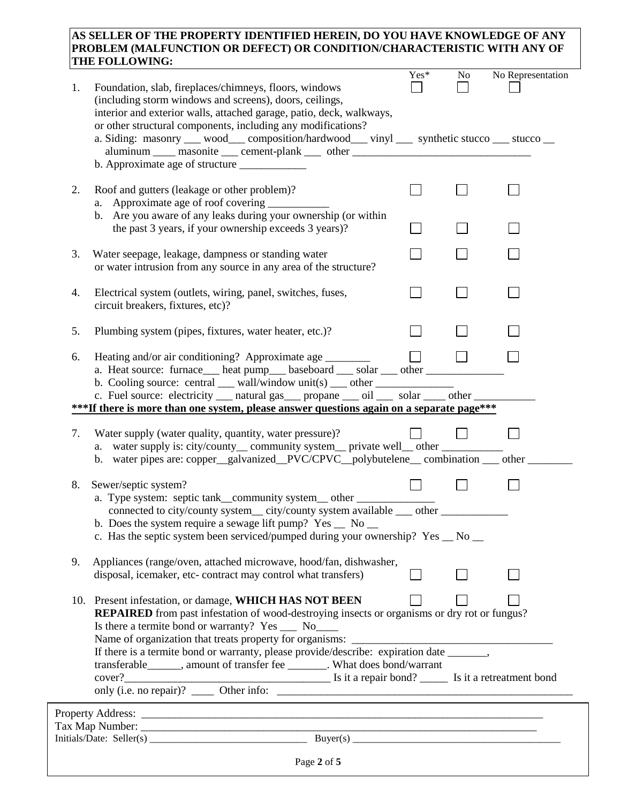## **AS SELLER OF THE PROPERTY IDENTIFIED HEREIN, DO YOU HAVE KNOWLEDGE OF ANY PROBLEM (MALFUNCTION OR DEFECT) OR CONDITION/CHARACTERISTIC WITH ANY OF THE FOLLOWING:**

| (including storm windows and screens), doors, ceilings,<br>interior and exterior walls, attached garage, patio, deck, walkways,<br>or other structural components, including any modifications?<br>a. Siding: masonry __ wood__ composition/hardwood__ vinyl __ synthetic stucco __ stucco __<br>aluminum _____ masonite ____ cement-plank ____ other ____________________________<br>Roof and gutters (leakage or other problem)?<br>2.<br>a. Approximate age of roof covering<br>b. Are you aware of any leaks during your ownership (or within<br>the past 3 years, if your ownership exceeds 3 years)?<br>3.<br>Water seepage, leakage, dampness or standing water<br>or water intrusion from any source in any area of the structure?<br>4.<br>Electrical system (outlets, wiring, panel, switches, fuses,<br>circuit breakers, fixtures, etc)?<br>5.<br>Plumbing system (pipes, fixtures, water heater, etc.)?<br>Heating and/or air conditioning? Approximate age ________<br>6.<br>a. Heat source: furnace heat pump baseboard __ solar __ other ___________________<br>b. Cooling source: central __ wall/window unit(s) __ other _____________________<br>c. Fuel source: electricity __ natural gas __ propane __ oil __ solar __ other _<br>***If there is more than one system, please answer questions again on a separate page***<br>7.<br>Water supply (water quality, quantity, water pressure)?<br>a. water supply is: city/county__ community system__ private well__ other ______<br>b. water pipes are: copper_galvanized_PVC/CPVC_polybutelene_combination __ other<br>8.<br>Sewer/septic system?<br>connected to city/county system_city/county system available __ other __________<br>b. Does the system require a sewage lift pump? $Yes \_ No \_$<br>c. Has the septic system been serviced/pumped during your ownership? Yes _ No _<br>9.<br>Appliances (range/oven, attached microwave, hood/fan, dishwasher,<br>disposal, icemaker, etc- contract may control what transfers)<br>10. Present infestation, or damage, WHICH HAS NOT BEEN<br><b>REPAIRED</b> from past infestation of wood-destroying insects or organisms or dry rot or fungus?<br>Is there a termite bond or warranty? Yes ___ No____<br>Name of organization that treats property for organisms:<br>If there is a termite bond or warranty, please provide/describe: expiration date _______,<br>transferable_______, amount of transfer fee ________. What does bond/warrant | 1. | Foundation, slab, fireplaces/chimneys, floors, windows | Yes* | N <sub>o</sub> | No Representation |
|------------------------------------------------------------------------------------------------------------------------------------------------------------------------------------------------------------------------------------------------------------------------------------------------------------------------------------------------------------------------------------------------------------------------------------------------------------------------------------------------------------------------------------------------------------------------------------------------------------------------------------------------------------------------------------------------------------------------------------------------------------------------------------------------------------------------------------------------------------------------------------------------------------------------------------------------------------------------------------------------------------------------------------------------------------------------------------------------------------------------------------------------------------------------------------------------------------------------------------------------------------------------------------------------------------------------------------------------------------------------------------------------------------------------------------------------------------------------------------------------------------------------------------------------------------------------------------------------------------------------------------------------------------------------------------------------------------------------------------------------------------------------------------------------------------------------------------------------------------------------------------------------------------------------------------------------------------------------------------------------------------------------------------------------------------------------------------------------------------------------------------------------------------------------------------------------------------------------------------------------------------------------------------------------------------------------------------------------------------------------------------------------------------------------------------------------------------------------------|----|--------------------------------------------------------|------|----------------|-------------------|
|                                                                                                                                                                                                                                                                                                                                                                                                                                                                                                                                                                                                                                                                                                                                                                                                                                                                                                                                                                                                                                                                                                                                                                                                                                                                                                                                                                                                                                                                                                                                                                                                                                                                                                                                                                                                                                                                                                                                                                                                                                                                                                                                                                                                                                                                                                                                                                                                                                                                              |    |                                                        |      |                |                   |
|                                                                                                                                                                                                                                                                                                                                                                                                                                                                                                                                                                                                                                                                                                                                                                                                                                                                                                                                                                                                                                                                                                                                                                                                                                                                                                                                                                                                                                                                                                                                                                                                                                                                                                                                                                                                                                                                                                                                                                                                                                                                                                                                                                                                                                                                                                                                                                                                                                                                              |    |                                                        |      |                |                   |
|                                                                                                                                                                                                                                                                                                                                                                                                                                                                                                                                                                                                                                                                                                                                                                                                                                                                                                                                                                                                                                                                                                                                                                                                                                                                                                                                                                                                                                                                                                                                                                                                                                                                                                                                                                                                                                                                                                                                                                                                                                                                                                                                                                                                                                                                                                                                                                                                                                                                              |    |                                                        |      |                |                   |
|                                                                                                                                                                                                                                                                                                                                                                                                                                                                                                                                                                                                                                                                                                                                                                                                                                                                                                                                                                                                                                                                                                                                                                                                                                                                                                                                                                                                                                                                                                                                                                                                                                                                                                                                                                                                                                                                                                                                                                                                                                                                                                                                                                                                                                                                                                                                                                                                                                                                              |    |                                                        |      |                |                   |
|                                                                                                                                                                                                                                                                                                                                                                                                                                                                                                                                                                                                                                                                                                                                                                                                                                                                                                                                                                                                                                                                                                                                                                                                                                                                                                                                                                                                                                                                                                                                                                                                                                                                                                                                                                                                                                                                                                                                                                                                                                                                                                                                                                                                                                                                                                                                                                                                                                                                              |    |                                                        |      |                |                   |
|                                                                                                                                                                                                                                                                                                                                                                                                                                                                                                                                                                                                                                                                                                                                                                                                                                                                                                                                                                                                                                                                                                                                                                                                                                                                                                                                                                                                                                                                                                                                                                                                                                                                                                                                                                                                                                                                                                                                                                                                                                                                                                                                                                                                                                                                                                                                                                                                                                                                              |    |                                                        |      |                |                   |
|                                                                                                                                                                                                                                                                                                                                                                                                                                                                                                                                                                                                                                                                                                                                                                                                                                                                                                                                                                                                                                                                                                                                                                                                                                                                                                                                                                                                                                                                                                                                                                                                                                                                                                                                                                                                                                                                                                                                                                                                                                                                                                                                                                                                                                                                                                                                                                                                                                                                              |    |                                                        |      |                |                   |
|                                                                                                                                                                                                                                                                                                                                                                                                                                                                                                                                                                                                                                                                                                                                                                                                                                                                                                                                                                                                                                                                                                                                                                                                                                                                                                                                                                                                                                                                                                                                                                                                                                                                                                                                                                                                                                                                                                                                                                                                                                                                                                                                                                                                                                                                                                                                                                                                                                                                              |    |                                                        |      |                |                   |
|                                                                                                                                                                                                                                                                                                                                                                                                                                                                                                                                                                                                                                                                                                                                                                                                                                                                                                                                                                                                                                                                                                                                                                                                                                                                                                                                                                                                                                                                                                                                                                                                                                                                                                                                                                                                                                                                                                                                                                                                                                                                                                                                                                                                                                                                                                                                                                                                                                                                              |    |                                                        |      |                |                   |
|                                                                                                                                                                                                                                                                                                                                                                                                                                                                                                                                                                                                                                                                                                                                                                                                                                                                                                                                                                                                                                                                                                                                                                                                                                                                                                                                                                                                                                                                                                                                                                                                                                                                                                                                                                                                                                                                                                                                                                                                                                                                                                                                                                                                                                                                                                                                                                                                                                                                              |    |                                                        |      |                |                   |
|                                                                                                                                                                                                                                                                                                                                                                                                                                                                                                                                                                                                                                                                                                                                                                                                                                                                                                                                                                                                                                                                                                                                                                                                                                                                                                                                                                                                                                                                                                                                                                                                                                                                                                                                                                                                                                                                                                                                                                                                                                                                                                                                                                                                                                                                                                                                                                                                                                                                              |    |                                                        |      |                |                   |
|                                                                                                                                                                                                                                                                                                                                                                                                                                                                                                                                                                                                                                                                                                                                                                                                                                                                                                                                                                                                                                                                                                                                                                                                                                                                                                                                                                                                                                                                                                                                                                                                                                                                                                                                                                                                                                                                                                                                                                                                                                                                                                                                                                                                                                                                                                                                                                                                                                                                              |    |                                                        |      |                |                   |
|                                                                                                                                                                                                                                                                                                                                                                                                                                                                                                                                                                                                                                                                                                                                                                                                                                                                                                                                                                                                                                                                                                                                                                                                                                                                                                                                                                                                                                                                                                                                                                                                                                                                                                                                                                                                                                                                                                                                                                                                                                                                                                                                                                                                                                                                                                                                                                                                                                                                              |    |                                                        |      |                |                   |
|                                                                                                                                                                                                                                                                                                                                                                                                                                                                                                                                                                                                                                                                                                                                                                                                                                                                                                                                                                                                                                                                                                                                                                                                                                                                                                                                                                                                                                                                                                                                                                                                                                                                                                                                                                                                                                                                                                                                                                                                                                                                                                                                                                                                                                                                                                                                                                                                                                                                              |    |                                                        |      |                |                   |
|                                                                                                                                                                                                                                                                                                                                                                                                                                                                                                                                                                                                                                                                                                                                                                                                                                                                                                                                                                                                                                                                                                                                                                                                                                                                                                                                                                                                                                                                                                                                                                                                                                                                                                                                                                                                                                                                                                                                                                                                                                                                                                                                                                                                                                                                                                                                                                                                                                                                              |    |                                                        |      |                |                   |
|                                                                                                                                                                                                                                                                                                                                                                                                                                                                                                                                                                                                                                                                                                                                                                                                                                                                                                                                                                                                                                                                                                                                                                                                                                                                                                                                                                                                                                                                                                                                                                                                                                                                                                                                                                                                                                                                                                                                                                                                                                                                                                                                                                                                                                                                                                                                                                                                                                                                              |    |                                                        |      |                |                   |
|                                                                                                                                                                                                                                                                                                                                                                                                                                                                                                                                                                                                                                                                                                                                                                                                                                                                                                                                                                                                                                                                                                                                                                                                                                                                                                                                                                                                                                                                                                                                                                                                                                                                                                                                                                                                                                                                                                                                                                                                                                                                                                                                                                                                                                                                                                                                                                                                                                                                              |    |                                                        |      |                |                   |
|                                                                                                                                                                                                                                                                                                                                                                                                                                                                                                                                                                                                                                                                                                                                                                                                                                                                                                                                                                                                                                                                                                                                                                                                                                                                                                                                                                                                                                                                                                                                                                                                                                                                                                                                                                                                                                                                                                                                                                                                                                                                                                                                                                                                                                                                                                                                                                                                                                                                              |    |                                                        |      |                |                   |
| Page 2 of 5                                                                                                                                                                                                                                                                                                                                                                                                                                                                                                                                                                                                                                                                                                                                                                                                                                                                                                                                                                                                                                                                                                                                                                                                                                                                                                                                                                                                                                                                                                                                                                                                                                                                                                                                                                                                                                                                                                                                                                                                                                                                                                                                                                                                                                                                                                                                                                                                                                                                  |    |                                                        |      |                |                   |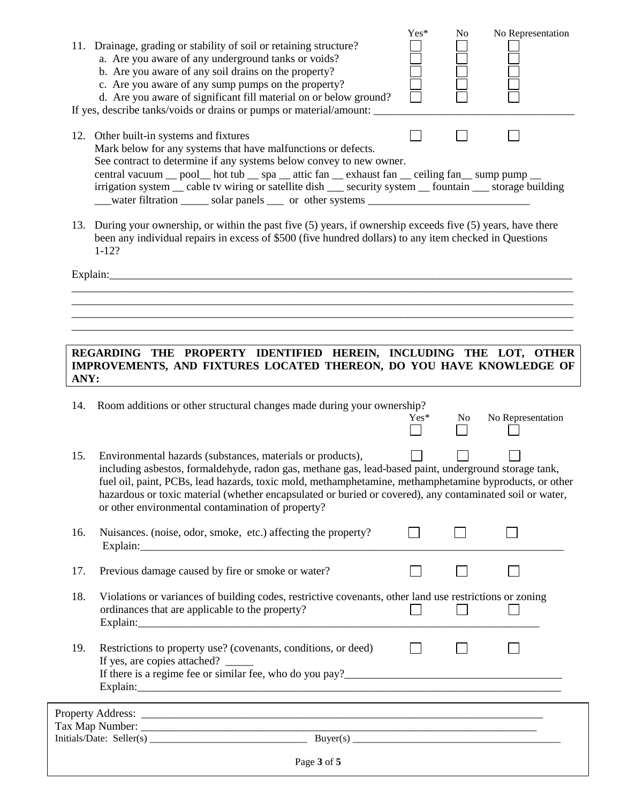|      | 11. Drainage, grading or stability of soil or retaining structure?<br>a. Are you aware of any underground tanks or voids?<br>b. Are you aware of any soil drains on the property?<br>c. Are you aware of any sump pumps on the property?<br>d. Are you aware of significant fill material on or below ground?                                                                                                                                                                                                                                                                | Yes*   | No  | No Representation |  |
|------|------------------------------------------------------------------------------------------------------------------------------------------------------------------------------------------------------------------------------------------------------------------------------------------------------------------------------------------------------------------------------------------------------------------------------------------------------------------------------------------------------------------------------------------------------------------------------|--------|-----|-------------------|--|
|      | If yes, describe tanks/voids or drains or pumps or material/amount:<br>12. Other built-in systems and fixtures<br>Mark below for any systems that have malfunctions or defects.<br>See contract to determine if any systems below convey to new owner.<br>central vacuum __ pool__ hot tub __ spa __ attic fan __ exhaust fan __ ceiling fan __ sump pump __<br>irrigation system __ cable tv wiring or satellite dish __ security system __ fountain __ storage building                                                                                                    |        |     |                   |  |
|      | 13. During your ownership, or within the past five (5) years, if ownership exceeds five (5) years, have there<br>been any individual repairs in excess of \$500 (five hundred dollars) to any item checked in Questions<br>$1 - 12?$                                                                                                                                                                                                                                                                                                                                         |        |     |                   |  |
|      | Explain:<br>REGARDING THE PROPERTY IDENTIFIED HEREIN, INCLUDING THE LOT, OTHER                                                                                                                                                                                                                                                                                                                                                                                                                                                                                               |        |     |                   |  |
| ANY: | IMPROVEMENTS, AND FIXTURES LOCATED THEREON, DO YOU HAVE KNOWLEDGE OF                                                                                                                                                                                                                                                                                                                                                                                                                                                                                                         |        |     |                   |  |
| 14.  | Room additions or other structural changes made during your ownership?                                                                                                                                                                                                                                                                                                                                                                                                                                                                                                       | $Yes*$ | No. | No Representation |  |
| 15.  | Environmental hazards (substances, materials or products),<br>including asbestos, formaldehyde, radon gas, methane gas, lead-based paint, underground storage tank,<br>fuel oil, paint, PCBs, lead hazards, toxic mold, methamphetamine, methamphetamine byproducts, or other<br>hazardous or toxic material (whether encapsulated or buried or covered), any contaminated soil or water,<br>or other environmental contamination of property?                                                                                                                               |        |     |                   |  |
| 16.  | Nuisances. (noise, odor, smoke, etc.) affecting the property?                                                                                                                                                                                                                                                                                                                                                                                                                                                                                                                |        |     |                   |  |
| 17.  | Previous damage caused by fire or smoke or water?                                                                                                                                                                                                                                                                                                                                                                                                                                                                                                                            |        |     |                   |  |
| 18.  | Violations or variances of building codes, restrictive covenants, other land use restrictions or zoning<br>ordinances that are applicable to the property?                                                                                                                                                                                                                                                                                                                                                                                                                   |        |     |                   |  |
| 19.  | Restrictions to property use? (covenants, conditions, or deed)<br>Explain: explain:                                                                                                                                                                                                                                                                                                                                                                                                                                                                                          |        |     |                   |  |
|      | ,我们也不会有一个人的人,我们也不会有一个人的人,我们也不会有一个人的人。""我们,我们也不会有一个人的人,我们也不会有一个人的人,我们也不会有一个人的人。""我                                                                                                                                                                                                                                                                                                                                                                                                                                                                                            |        |     |                   |  |
|      | $\text{Tax Map Number: } \overbrace{\text{Initials}/\text{Date: } \text{Selfer(s)} \perp \text{Value: } \text{Value: } \text{Value: } \text{Value: } \text{Value: } \text{Value: } \text{Value: } \text{Value: } \text{Value: } \text{Value: } \text{Value: } \text{Value: } \text{Value: } \text{Value: } \text{Value: } \text{Value: } \text{Value: } \text{Value: } \text{Value: } \text{Value: } \text{Value: } \text{Value: } \text{Value: } \text{Value: } \text{Value: } \text{Value: } \text{Value: } \text{Value: } \text{Value: } \text{Value: } \text{Value: } \$ |        |     |                   |  |
|      | Page 3 of 5                                                                                                                                                                                                                                                                                                                                                                                                                                                                                                                                                                  |        |     |                   |  |
|      |                                                                                                                                                                                                                                                                                                                                                                                                                                                                                                                                                                              |        |     |                   |  |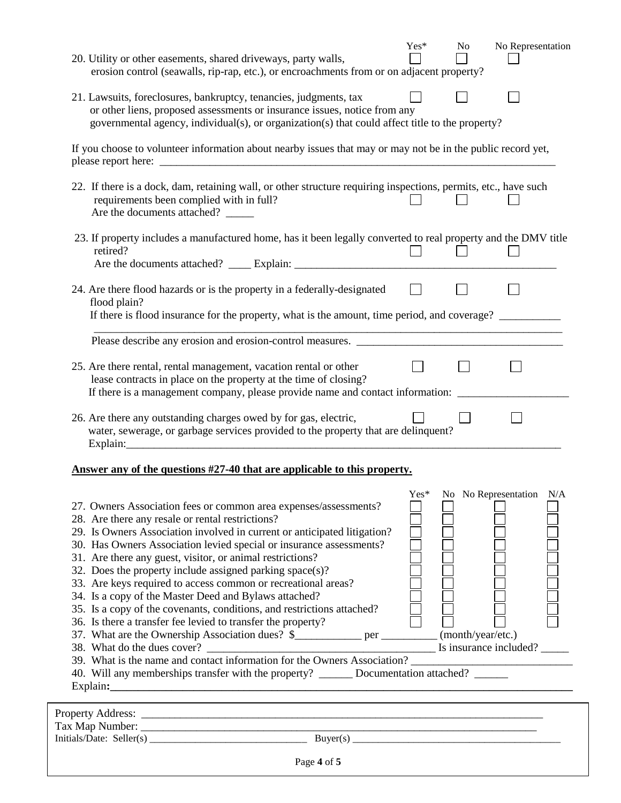| 20. Utility or other easements, shared driveways, party walls,<br>erosion control (seawalls, rip-rap, etc.), or encroachments from or on adjacent property?                                                                                                                                                                                                                                                                                                                                                                                                                                                                                                          | $Yes*$ | No | No Representation        |  |
|----------------------------------------------------------------------------------------------------------------------------------------------------------------------------------------------------------------------------------------------------------------------------------------------------------------------------------------------------------------------------------------------------------------------------------------------------------------------------------------------------------------------------------------------------------------------------------------------------------------------------------------------------------------------|--------|----|--------------------------|--|
| 21. Lawsuits, foreclosures, bankruptcy, tenancies, judgments, tax<br>or other liens, proposed assessments or insurance issues, notice from any<br>governmental agency, individual(s), or organization(s) that could affect title to the property?                                                                                                                                                                                                                                                                                                                                                                                                                    |        |    |                          |  |
| If you choose to volunteer information about nearby issues that may or may not be in the public record yet,                                                                                                                                                                                                                                                                                                                                                                                                                                                                                                                                                          |        |    |                          |  |
| 22. If there is a dock, dam, retaining wall, or other structure requiring inspections, permits, etc., have such<br>requirements been complied with in full?<br>Are the documents attached?                                                                                                                                                                                                                                                                                                                                                                                                                                                                           |        |    |                          |  |
| 23. If property includes a manufactured home, has it been legally converted to real property and the DMV title<br>retired?                                                                                                                                                                                                                                                                                                                                                                                                                                                                                                                                           |        |    |                          |  |
| 24. Are there flood hazards or is the property in a federally-designated<br>flood plain?                                                                                                                                                                                                                                                                                                                                                                                                                                                                                                                                                                             |        |    |                          |  |
| If there is flood insurance for the property, what is the amount, time period, and coverage?                                                                                                                                                                                                                                                                                                                                                                                                                                                                                                                                                                         |        |    |                          |  |
|                                                                                                                                                                                                                                                                                                                                                                                                                                                                                                                                                                                                                                                                      |        |    |                          |  |
| 25. Are there rental, rental management, vacation rental or other<br>lease contracts in place on the property at the time of closing?<br>If there is a management company, please provide name and contact information:                                                                                                                                                                                                                                                                                                                                                                                                                                              |        |    |                          |  |
| 26. Are there any outstanding charges owed by for gas, electric,<br>water, sewerage, or garbage services provided to the property that are delinquent?                                                                                                                                                                                                                                                                                                                                                                                                                                                                                                               |        |    |                          |  |
| Answer any of the questions #27-40 that are applicable to this property.                                                                                                                                                                                                                                                                                                                                                                                                                                                                                                                                                                                             |        |    |                          |  |
| 27. Owners Association fees or common area expenses/assessments?<br>28. Are there any resale or rental restrictions?<br>29. Is Owners Association involved in current or anticipated litigation?<br>30. Has Owners Association levied special or insurance assessments?<br>31. Are there any guest, visitor, or animal restrictions?<br>32. Does the property include assigned parking space(s)?<br>33. Are keys required to access common or recreational areas?<br>34. Is a copy of the Master Deed and Bylaws attached?<br>35. Is a copy of the covenants, conditions, and restrictions attached?<br>36. Is there a transfer fee levied to transfer the property? | Yes*   |    | No No Representation N/A |  |

- 36. Is there a transfer fee levied to transfer the property?
- 37. What are the Ownership Association dues? \$\_\_\_\_\_\_\_\_\_\_\_\_ per \_\_\_\_\_\_\_\_\_\_ (month/year/etc.) 38. What do the dues cover? \_\_\_\_\_\_\_\_\_\_\_\_\_\_\_\_\_\_\_\_\_\_\_\_\_\_\_\_\_\_\_\_\_\_\_\_\_\_\_\_\_ Is insurance included? \_\_\_\_\_
	-
	- 39. What is the name and contact information for the Owners Association? \_\_\_\_\_\_\_\_\_\_\_\_\_\_\_\_\_\_\_\_\_\_\_\_\_\_\_\_\_

| 40. Will any memberships transfer with the property? | Documentation attached? |
|------------------------------------------------------|-------------------------|
| Explain:                                             |                         |

| <b>Property Address:</b><br>Tax Map Number: |            |  |
|---------------------------------------------|------------|--|
| Initials/Date: Seller(s)                    | Buver(s)   |  |
|                                             | $\sqrt{ }$ |  |